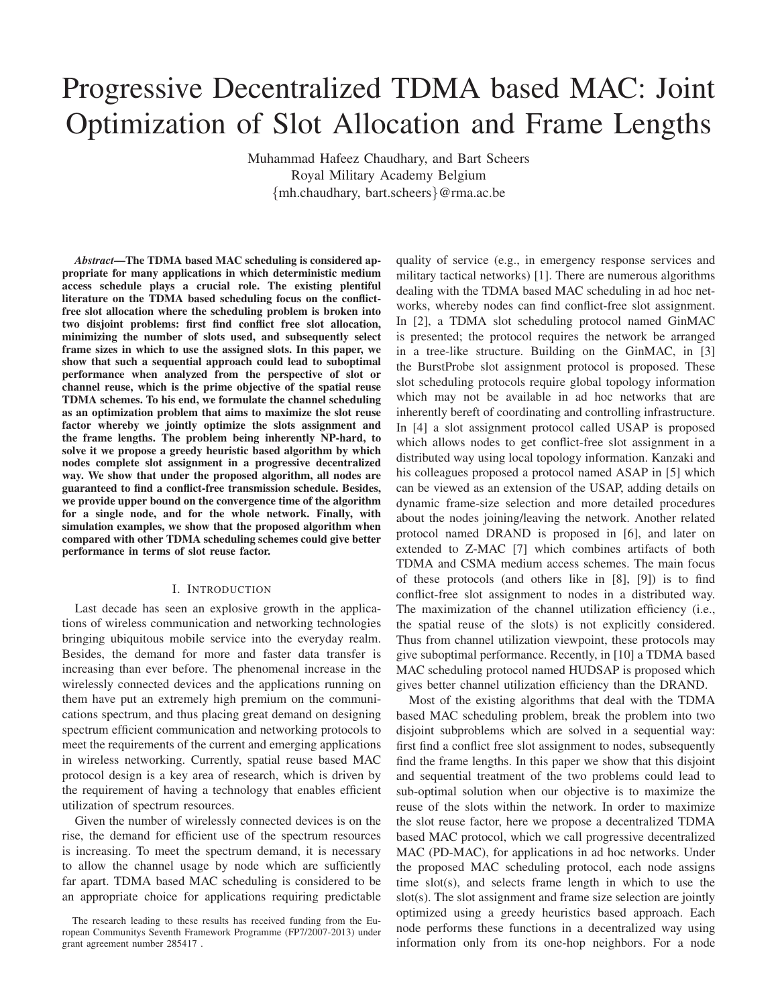# Progressive Decentralized TDMA based MAC: Joint Optimization of Slot Allocation and Frame Lengths

Muhammad Hafeez Chaudhary, and Bart Scheers Royal Military Academy Belgium {mh.chaudhary, bart.scheers}@rma.ac.be

*Abstract***—The TDMA based MAC scheduling is considered appropriate for many applications in which deterministic medium access schedule plays a crucial role. The existing plentiful literature on the TDMA based scheduling focus on the conflictfree slot allocation where the scheduling problem is broken into two disjoint problems: first find conflict free slot allocation, minimizing the number of slots used, and subsequently select frame sizes in which to use the assigned slots. In this paper, we show that such a sequential approach could lead to suboptimal performance when analyzed from the perspective of slot or channel reuse, which is the prime objective of the spatial reuse TDMA schemes. To his end, we formulate the channel scheduling as an optimization problem that aims to maximize the slot reuse factor whereby we jointly optimize the slots assignment and the frame lengths. The problem being inherently NP-hard, to solve it we propose a greedy heuristic based algorithm by which nodes complete slot assignment in a progressive decentralized way. We show that under the proposed algorithm, all nodes are guaranteed to find a conflict-free transmission schedule. Besides, we provide upper bound on the convergence time of the algorithm for a single node, and for the whole network. Finally, with simulation examples, we show that the proposed algorithm when compared with other TDMA scheduling schemes could give better performance in terms of slot reuse factor.**

## I. INTRODUCTION

Last decade has seen an explosive growth in the applications of wireless communication and networking technologies bringing ubiquitous mobile service into the everyday realm. Besides, the demand for more and faster data transfer is increasing than ever before. The phenomenal increase in the wirelessly connected devices and the applications running on them have put an extremely high premium on the communications spectrum, and thus placing great demand on designing spectrum efficient communication and networking protocols to meet the requirements of the current and emerging applications in wireless networking. Currently, spatial reuse based MAC protocol design is a key area of research, which is driven by the requirement of having a technology that enables efficient utilization of spectrum resources.

Given the number of wirelessly connected devices is on the rise, the demand for efficient use of the spectrum resources is increasing. To meet the spectrum demand, it is necessary to allow the channel usage by node which are sufficiently far apart. TDMA based MAC scheduling is considered to be an appropriate choice for applications requiring predictable quality of service (e.g., in emergency response services and military tactical networks) [1]. There are numerous algorithms dealing with the TDMA based MAC scheduling in ad hoc networks, whereby nodes can find conflict-free slot assignment. In [2], a TDMA slot scheduling protocol named GinMAC is presented; the protocol requires the network be arranged in a tree-like structure. Building on the GinMAC, in [3] the BurstProbe slot assignment protocol is proposed. These slot scheduling protocols require global topology information which may not be available in ad hoc networks that are inherently bereft of coordinating and controlling infrastructure. In [4] a slot assignment protocol called USAP is proposed which allows nodes to get conflict-free slot assignment in a distributed way using local topology information. Kanzaki and his colleagues proposed a protocol named ASAP in [5] which can be viewed as an extension of the USAP, adding details on dynamic frame-size selection and more detailed procedures about the nodes joining/leaving the network. Another related protocol named DRAND is proposed in [6], and later on extended to Z-MAC [7] which combines artifacts of both TDMA and CSMA medium access schemes. The main focus of these protocols (and others like in [8], [9]) is to find conflict-free slot assignment to nodes in a distributed way. The maximization of the channel utilization efficiency (i.e., the spatial reuse of the slots) is not explicitly considered. Thus from channel utilization viewpoint, these protocols may give suboptimal performance. Recently, in [10] a TDMA based MAC scheduling protocol named HUDSAP is proposed which gives better channel utilization efficiency than the DRAND.

Most of the existing algorithms that deal with the TDMA based MAC scheduling problem, break the problem into two disjoint subproblems which are solved in a sequential way: first find a conflict free slot assignment to nodes, subsequently find the frame lengths. In this paper we show that this disjoint and sequential treatment of the two problems could lead to sub-optimal solution when our objective is to maximize the reuse of the slots within the network. In order to maximize the slot reuse factor, here we propose a decentralized TDMA based MAC protocol, which we call progressive decentralized MAC (PD-MAC), for applications in ad hoc networks. Under the proposed MAC scheduling protocol, each node assigns time slot(s), and selects frame length in which to use the slot(s). The slot assignment and frame size selection are jointly optimized using a greedy heuristics based approach. Each node performs these functions in a decentralized way using information only from its one-hop neighbors. For a node

The research leading to these results has received funding from the European Communitys Seventh Framework Programme (FP7/2007-2013) under grant agreement number 285417 .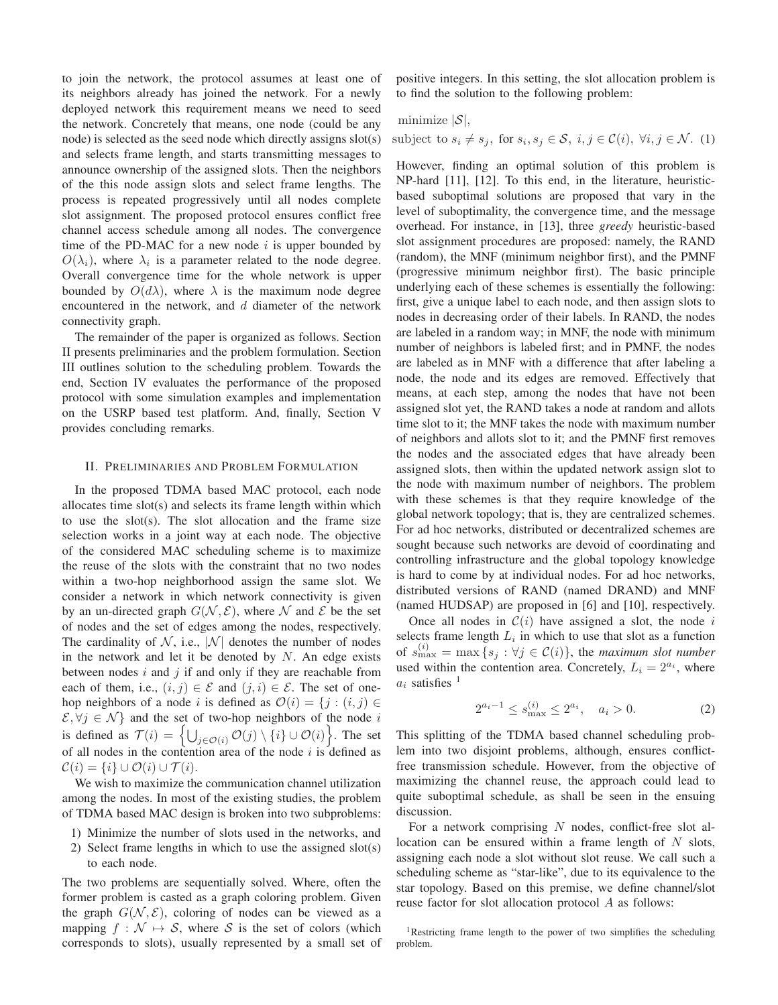to join the network, the protocol assumes at least one of its neighbors already has joined the network. For a newly deployed network this requirement means we need to seed the network. Concretely that means, one node (could be any node) is selected as the seed node which directly assigns slot(s) and selects frame length, and starts transmitting messages to announce ownership of the assigned slots. Then the neighbors of the this node assign slots and select frame lengths. The process is repeated progressively until all nodes complete slot assignment. The proposed protocol ensures conflict free channel access schedule among all nodes. The convergence time of the PD-MAC for a new node  $i$  is upper bounded by  $O(\lambda_i)$ , where  $\lambda_i$  is a parameter related to the node degree. Overall convergence time for the whole network is upper bounded by  $O(d\lambda)$ , where  $\lambda$  is the maximum node degree encountered in the network, and  $d$  diameter of the network connectivity graph.

The remainder of the paper is organized as follows. Section II presents preliminaries and the problem formulation. Section III outlines solution to the scheduling problem. Towards the end, Section IV evaluates the performance of the proposed protocol with some simulation examples and implementation on the USRP based test platform. And, finally, Section V provides concluding remarks.

## II. PRELIMINARIES AND PROBLEM FORMULATION

In the proposed TDMA based MAC protocol, each node allocates time slot(s) and selects its frame length within which to use the slot(s). The slot allocation and the frame size selection works in a joint way at each node. The objective of the considered MAC scheduling scheme is to maximize the reuse of the slots with the constraint that no two nodes within a two-hop neighborhood assign the same slot. We consider a network in which network connectivity is given by an un-directed graph  $G(\mathcal{N}, \mathcal{E})$ , where N and E be the set of nodes and the set of edges among the nodes, respectively. The cardinality of  $N$ , i.e.,  $|N|$  denotes the number of nodes in the network and let it be denoted by  $N$ . An edge exists between nodes  $i$  and  $j$  if and only if they are reachable from each of them, i.e.,  $(i, j) \in \mathcal{E}$  and  $(j, i) \in \mathcal{E}$ . The set of onehop neighbors of a node i is defined as  $\mathcal{O}(i) = \{j : (i, j) \in$  $\mathcal{E}, \forall j \in \mathcal{N} \}$  and the set of two-hop neighbors of the node i is defined as  $\mathcal{T}(i) = \left\{ \bigcup_{j \in \mathcal{O}(i)} \mathcal{O}(j) \setminus \{i\} \cup \mathcal{O}(i) \right\}$ . The set of all nodes in the contention area of the node  $i$  is defined as  $\mathcal{C}(i) = \{i\} \cup \mathcal{O}(i) \cup \mathcal{T}(i).$ 

We wish to maximize the communication channel utilization among the nodes. In most of the existing studies, the problem of TDMA based MAC design is broken into two subproblems:

- 1) Minimize the number of slots used in the networks, and
- 2) Select frame lengths in which to use the assigned slot(s) to each node.

The two problems are sequentially solved. Where, often the former problem is casted as a graph coloring problem. Given the graph  $G(\mathcal{N}, \mathcal{E})$ , coloring of nodes can be viewed as a mapping  $f : \mathcal{N} \mapsto \mathcal{S}$ , where S is the set of colors (which corresponds to slots), usually represented by a small set of positive integers. In this setting, the slot allocation problem is to find the solution to the following problem:

minimize  $|\mathcal{S}|$ ,

subject to  $s_i \neq s_j$ , for  $s_i, s_j \in \mathcal{S}$ ,  $i, j \in \mathcal{C}(i)$ ,  $\forall i, j \in \mathcal{N}$ . (1)

However, finding an optimal solution of this problem is NP-hard [11], [12]. To this end, in the literature, heuristicbased suboptimal solutions are proposed that vary in the level of suboptimality, the convergence time, and the message overhead. For instance, in [13], three *greedy* heuristic-based slot assignment procedures are proposed: namely, the RAND (random), the MNF (minimum neighbor first), and the PMNF (progressive minimum neighbor first). The basic principle underlying each of these schemes is essentially the following: first, give a unique label to each node, and then assign slots to nodes in decreasing order of their labels. In RAND, the nodes are labeled in a random way; in MNF, the node with minimum number of neighbors is labeled first; and in PMNF, the nodes are labeled as in MNF with a difference that after labeling a node, the node and its edges are removed. Effectively that means, at each step, among the nodes that have not been assigned slot yet, the RAND takes a node at random and allots time slot to it; the MNF takes the node with maximum number of neighbors and allots slot to it; and the PMNF first removes the nodes and the associated edges that have already been assigned slots, then within the updated network assign slot to the node with maximum number of neighbors. The problem with these schemes is that they require knowledge of the global network topology; that is, they are centralized schemes. For ad hoc networks, distributed or decentralized schemes are sought because such networks are devoid of coordinating and controlling infrastructure and the global topology knowledge is hard to come by at individual nodes. For ad hoc networks, distributed versions of RAND (named DRAND) and MNF (named HUDSAP) are proposed in [6] and [10], respectively.

Once all nodes in  $C(i)$  have assigned a slot, the node i selects frame length  $L_i$  in which to use that slot as a function of  $s_{\max}^{(i)} = \max\{s_j : \forall j \in C(i)\}\$ , the *maximum slot number* used within the contention area. Concretely,  $L_i = 2^{a_i}$ , where  $a_i$  satisfies <sup>1</sup>

$$
2^{a_i - 1} \le s_{\text{max}}^{(i)} \le 2^{a_i}, \quad a_i > 0. \tag{2}
$$

This splitting of the TDMA based channel scheduling problem into two disjoint problems, although, ensures conflictfree transmission schedule. However, from the objective of maximizing the channel reuse, the approach could lead to quite suboptimal schedule, as shall be seen in the ensuing discussion.

For a network comprising  $N$  nodes, conflict-free slot allocation can be ensured within a frame length of  $N$  slots, assigning each node a slot without slot reuse. We call such a scheduling scheme as "star-like", due to its equivalence to the star topology. Based on this premise, we define channel/slot reuse factor for slot allocation protocol A as follows:

<sup>&</sup>lt;sup>1</sup>Restricting frame length to the power of two simplifies the scheduling problem.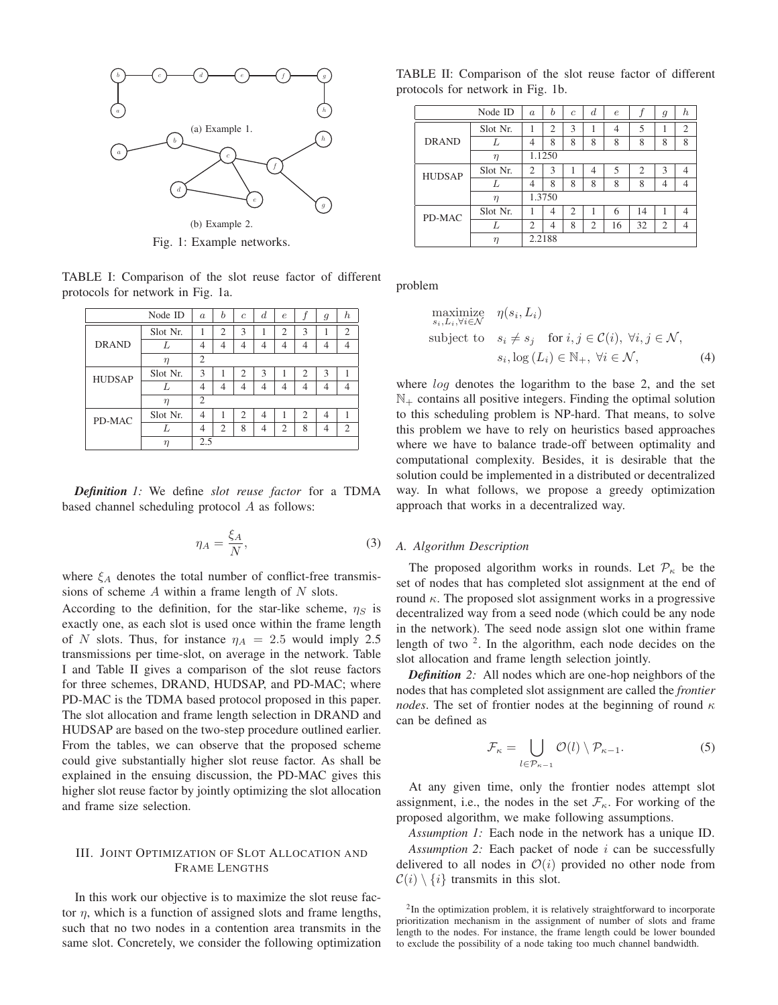

Fig. 1: Example networks.

TABLE I: Comparison of the slot reuse factor of different protocols for network in Fig. 1a.

|               | Node ID  | $\boldsymbol{a}$ | h              | $\overline{c}$ | $\boldsymbol{d}$ | $\epsilon$     |                | 9 | $\boldsymbol{h}$ |
|---------------|----------|------------------|----------------|----------------|------------------|----------------|----------------|---|------------------|
| <b>DRAND</b>  | Slot Nr. |                  | $\overline{2}$ | 3              |                  | $\overline{2}$ | 3              |   | $\overline{2}$   |
|               | L        | 4                | 4              | 4              | 4                | 4              | 4              | 4 | 4                |
|               | $\eta$   | $\overline{c}$   |                |                |                  |                |                |   |                  |
| <b>HUDSAP</b> | Slot Nr. | 3                | 1              | 2              | 3                | 1              | $\overline{2}$ | 3 |                  |
|               | L        | 4                | 4              | 4              | 4                | 4              | 4              | 4 | 4                |
|               | $\eta$   | $\overline{2}$   |                |                |                  |                |                |   |                  |
| PD-MAC        | Slot Nr. | 4                |                | 2              | 4                | 1              | $\overline{c}$ | 4 |                  |
|               |          | 4                | $\overline{2}$ | 8              | 4                | $\overline{c}$ | 8              | 4 | $\overline{2}$   |
|               | η        | 2.5              |                |                |                  |                |                |   |                  |

*Definition 1:* We define *slot reuse factor* for a TDMA based channel scheduling protocol A as follows:

$$
\eta_A = \frac{\xi_A}{N},\tag{3}
$$

where  $\xi_A$  denotes the total number of conflict-free transmissions of scheme  $A$  within a frame length of  $N$  slots.

According to the definition, for the star-like scheme,  $\eta_S$  is exactly one, as each slot is used once within the frame length of N slots. Thus, for instance  $\eta_A = 2.5$  would imply 2.5 transmissions per time-slot, on average in the network. Table I and Table II gives a comparison of the slot reuse factors for three schemes, DRAND, HUDSAP, and PD-MAC; where PD-MAC is the TDMA based protocol proposed in this paper. The slot allocation and frame length selection in DRAND and HUDSAP are based on the two-step procedure outlined earlier. From the tables, we can observe that the proposed scheme could give substantially higher slot reuse factor. As shall be explained in the ensuing discussion, the PD-MAC gives this higher slot reuse factor by jointly optimizing the slot allocation and frame size selection.

## III. JOINT OPTIMIZATION OF SLOT ALLOCATION AND FRAME LENGTHS

In this work our objective is to maximize the slot reuse factor  $\eta$ , which is a function of assigned slots and frame lengths, such that no two nodes in a contention area transmits in the same slot. Concretely, we consider the following optimization

TABLE II: Comparison of the slot reuse factor of different protocols for network in Fig. 1b.

|               | Node ID  | $\alpha$       | b              | $\overline{c}$ | $\boldsymbol{d}$ | $\epsilon$ |                | $\mathfrak{g}$ | $\boldsymbol{h}$ |  |
|---------------|----------|----------------|----------------|----------------|------------------|------------|----------------|----------------|------------------|--|
| <b>DRAND</b>  | Slot Nr. | 1              | $\overline{c}$ | 3              | 1                | 4          | 5              |                | $\overline{2}$   |  |
|               |          | 4              | 8              | 8              | 8                | 8          | 8              | 8              | 8                |  |
|               | $\eta$   | 1.1250         |                |                |                  |            |                |                |                  |  |
| <b>HUDSAP</b> | Slot Nr. | 2              | 3              |                | $\overline{4}$   | 5          | $\overline{2}$ | 3              | 4                |  |
|               |          | $\overline{4}$ | 8              | 8              | 8                | 8          | 8              | 4              | 4                |  |
|               | $\eta$   | 1.3750         |                |                |                  |            |                |                |                  |  |
| PD-MAC        | Slot Nr. | 1              | 4              | 2              |                  | 6          | 14             | 1              | 4                |  |
|               | Τ.       | $\overline{2}$ | 4              | 8              | 2                | 16         | 32             | $\overline{2}$ | 4                |  |
|               | η        |                | 2.2188         |                |                  |            |                |                |                  |  |

problem

maximize 
$$
\eta(s_i, L_i)
$$
  
\nsubject to  $s_i \neq s_j$  for  $i, j \in C(i)$ ,  $\forall i, j \in \mathcal{N}$ ,  
\n $s_i, \log(L_i) \in \mathbb{N}_+$ ,  $\forall i \in \mathcal{N}$ , (4)

where *log* denotes the logarithm to the base 2, and the set  $\mathbb{N}_+$  contains all positive integers. Finding the optimal solution to this scheduling problem is NP-hard. That means, to solve this problem we have to rely on heuristics based approaches where we have to balance trade-off between optimality and computational complexity. Besides, it is desirable that the solution could be implemented in a distributed or decentralized way. In what follows, we propose a greedy optimization approach that works in a decentralized way.

## *A. Algorithm Description*

The proposed algorithm works in rounds. Let  $P_{\kappa}$  be the set of nodes that has completed slot assignment at the end of round  $\kappa$ . The proposed slot assignment works in a progressive decentralized way from a seed node (which could be any node in the network). The seed node assign slot one within frame length of two  $2$ . In the algorithm, each node decides on the slot allocation and frame length selection jointly.

*Definition 2:* All nodes which are one-hop neighbors of the nodes that has completed slot assignment are called the *frontier nodes*. The set of frontier nodes at the beginning of round  $\kappa$ can be defined as

$$
\mathcal{F}_{\kappa} = \bigcup_{l \in \mathcal{P}_{\kappa-1}} \mathcal{O}(l) \setminus \mathcal{P}_{\kappa-1}.
$$
 (5)

At any given time, only the frontier nodes attempt slot assignment, i.e., the nodes in the set  $\mathcal{F}_{\kappa}$ . For working of the proposed algorithm, we make following assumptions.

*Assumption 1:* Each node in the network has a unique ID. *Assumption 2:* Each packet of node i can be successfully delivered to all nodes in  $\mathcal{O}(i)$  provided no other node from  $C(i) \setminus \{i\}$  transmits in this slot.

<sup>&</sup>lt;sup>2</sup>In the optimization problem, it is relatively straightforward to incorporate prioritization mechanism in the assignment of number of slots and frame length to the nodes. For instance, the frame length could be lower bounded to exclude the possibility of a node taking too much channel bandwidth.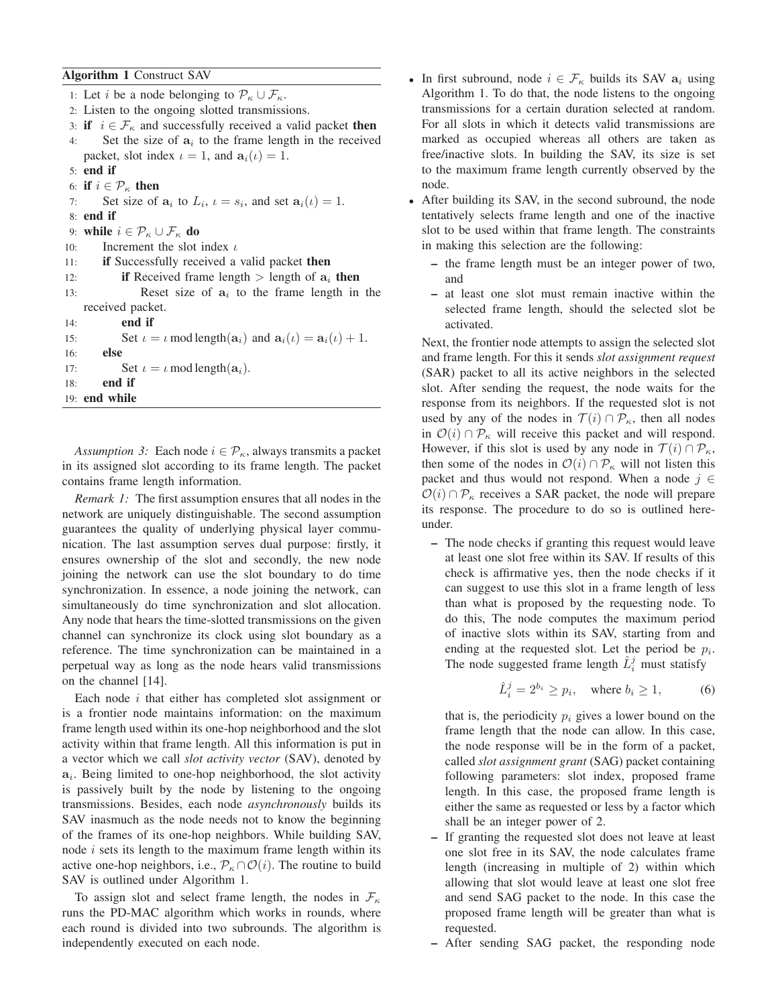# **Algorithm 1** Construct SAV

1: Let *i* be a node belonging to  $\mathcal{P}_{\kappa} \cup \mathcal{F}_{\kappa}$ . 2: Listen to the ongoing slotted transmissions. 3: **if**  $i \in \mathcal{F}_\kappa$  and successfully received a valid packet **then** 4: Set the size of  $a_i$  to the frame length in the received packet, slot index  $\iota = 1$ , and  $a_i(\iota) = 1$ . 5: **end if** 6: **if**  $i \in \mathcal{P}_\kappa$  **then** 7: Set size of  $a_i$  to  $L_i$ ,  $\iota = s_i$ , and set  $a_i(\iota) = 1$ . 8: **end if** 9: **while**  $i \in \mathcal{P}_{\kappa} \cup \mathcal{F}_{\kappa}$  **do** 10: Increment the slot index  $\iota$ 11: **if** Successfully received a valid packet **then** 12: **if** Received frame length  $>$  length of  $a_i$  then 13: Reset size of  $a_i$  to the frame length in the received packet. 14: **end if** 15: Set  $\iota = \iota \mod \text{length}(\mathbf{a}_i)$  and  $\mathbf{a}_i(\iota) = \mathbf{a}_i(\iota) + 1$ . 16: **else** 17: Set  $\iota = \iota \mod \text{length}(\mathbf{a}_i)$ . 18: **end if** 19: **end while**

*Assumption 3:* Each node  $i \in \mathcal{P}_\kappa$ , always transmits a packet in its assigned slot according to its frame length. The packet contains frame length information.

*Remark 1:* The first assumption ensures that all nodes in the network are uniquely distinguishable. The second assumption guarantees the quality of underlying physical layer communication. The last assumption serves dual purpose: firstly, it ensures ownership of the slot and secondly, the new node joining the network can use the slot boundary to do time synchronization. In essence, a node joining the network, can simultaneously do time synchronization and slot allocation. Any node that hears the time-slotted transmissions on the given channel can synchronize its clock using slot boundary as a reference. The time synchronization can be maintained in a perpetual way as long as the node hears valid transmissions on the channel [14].

Each node  $i$  that either has completed slot assignment or is a frontier node maintains information: on the maximum frame length used within its one-hop neighborhood and the slot activity within that frame length. All this information is put in a vector which we call *slot activity vector* (SAV), denoted by  $a_i$ . Being limited to one-hop neighborhood, the slot activity is passively built by the node by listening to the ongoing transmissions. Besides, each node *asynchronously* builds its SAV inasmuch as the node needs not to know the beginning of the frames of its one-hop neighbors. While building SAV, node  $i$  sets its length to the maximum frame length within its active one-hop neighbors, i.e.,  $\mathcal{P}_{\kappa} \cap \mathcal{O}(i)$ . The routine to build SAV is outlined under Algorithm 1.

To assign slot and select frame length, the nodes in  $\mathcal{F}_\kappa$ runs the PD-MAC algorithm which works in rounds, where each round is divided into two subrounds. The algorithm is independently executed on each node.

- In first subround, node  $i \in \mathcal{F}_{\kappa}$  builds its SAV  $a_i$  using Algorithm 1. To do that, the node listens to the ongoing transmissions for a certain duration selected at random. For all slots in which it detects valid transmissions are marked as occupied whereas all others are taken as free/inactive slots. In building the SAV, its size is set to the maximum frame length currently observed by the node.
- After building its SAV, in the second subround, the node tentatively selects frame length and one of the inactive slot to be used within that frame length. The constraints in making this selection are the following:
	- **–** the frame length must be an integer power of two, and
	- **–** at least one slot must remain inactive within the selected frame length, should the selected slot be activated.

Next, the frontier node attempts to assign the selected slot and frame length. For this it sends *slot assignment request* (SAR) packet to all its active neighbors in the selected slot. After sending the request, the node waits for the response from its neighbors. If the requested slot is not used by any of the nodes in  $\mathcal{T}(i) \cap \mathcal{P}_{\kappa}$ , then all nodes in  $\mathcal{O}(i) \cap \mathcal{P}_{\kappa}$  will receive this packet and will respond. However, if this slot is used by any node in  $\mathcal{T}(i) \cap \mathcal{P}_{\kappa}$ , then some of the nodes in  $\mathcal{O}(i) \cap \mathcal{P}_{\kappa}$  will not listen this packet and thus would not respond. When a node  $j \in$  $\mathcal{O}(i) \cap \mathcal{P}_{\kappa}$  receives a SAR packet, the node will prepare its response. The procedure to do so is outlined hereunder.

**–** The node checks if granting this request would leave at least one slot free within its SAV. If results of this check is affirmative yes, then the node checks if it can suggest to use this slot in a frame length of less than what is proposed by the requesting node. To do this, The node computes the maximum period of inactive slots within its SAV, starting from and ending at the requested slot. Let the period be  $p_i$ . The node suggested frame length  $\hat{L}_i^j$  must statisfy

$$
\hat{L}_i^j = 2^{b_i} \ge p_i, \quad \text{where } b_i \ge 1,
$$
 (6)

that is, the periodicity  $p_i$  gives a lower bound on the frame length that the node can allow. In this case, the node response will be in the form of a packet, called *slot assignment grant* (SAG) packet containing following parameters: slot index, proposed frame length. In this case, the proposed frame length is either the same as requested or less by a factor which shall be an integer power of 2.

- **–** If granting the requested slot does not leave at least one slot free in its SAV, the node calculates frame length (increasing in multiple of 2) within which allowing that slot would leave at least one slot free and send SAG packet to the node. In this case the proposed frame length will be greater than what is requested.
- **–** After sending SAG packet, the responding node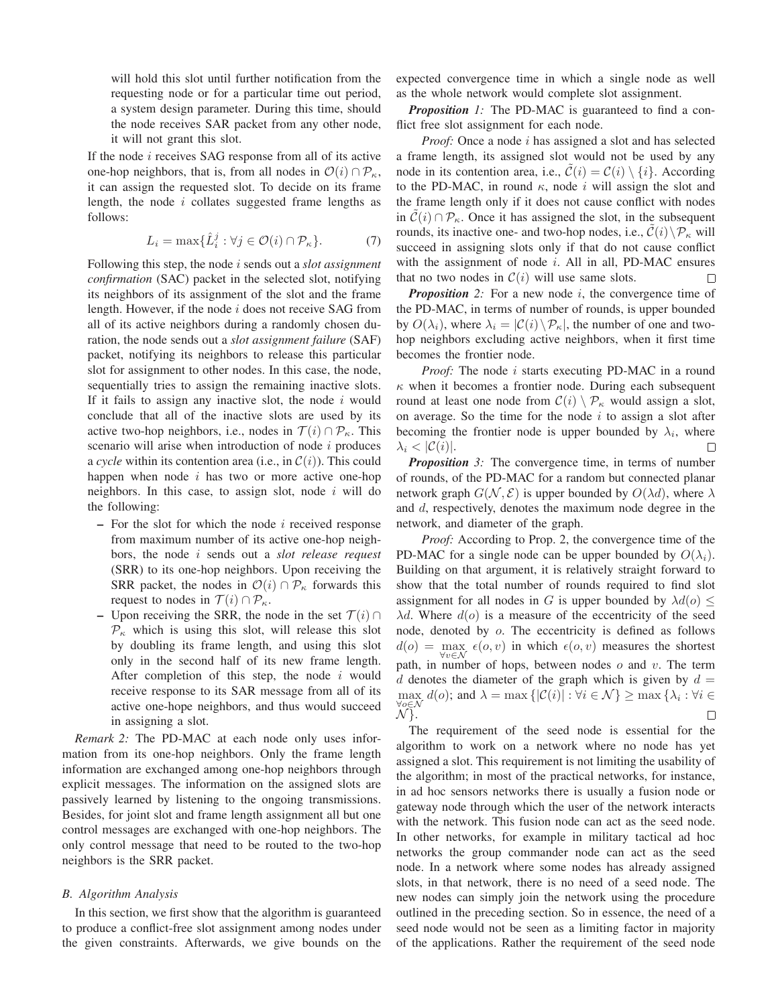will hold this slot until further notification from the requesting node or for a particular time out period, a system design parameter. During this time, should the node receives SAR packet from any other node, it will not grant this slot.

If the node i receives SAG response from all of its active one-hop neighbors, that is, from all nodes in  $\mathcal{O}(i) \cap \mathcal{P}_{\kappa}$ , it can assign the requested slot. To decide on its frame length, the node  $i$  collates suggested frame lengths as follows:

$$
L_i = \max\{\hat{L}_i^j : \forall j \in \mathcal{O}(i) \cap \mathcal{P}_\kappa\}.
$$
 (7)

Following this step, the node i sends out a *slot assignment confirmation* (SAC) packet in the selected slot, notifying its neighbors of its assignment of the slot and the frame length. However, if the node  $i$  does not receive SAG from all of its active neighbors during a randomly chosen duration, the node sends out a *slot assignment failure* (SAF) packet, notifying its neighbors to release this particular slot for assignment to other nodes. In this case, the node, sequentially tries to assign the remaining inactive slots. If it fails to assign any inactive slot, the node  $i$  would conclude that all of the inactive slots are used by its active two-hop neighbors, i.e., nodes in  $\mathcal{T}(i) \cap \mathcal{P}_{\kappa}$ . This scenario will arise when introduction of node  $i$  produces a *cycle* within its contention area (i.e., in  $\mathcal{C}(i)$ ). This could happen when node  $i$  has two or more active one-hop neighbors. In this case, to assign slot, node  $i$  will do the following:

- **–** For the slot for which the node i received response from maximum number of its active one-hop neighbors, the node i sends out a *slot release request* (SRR) to its one-hop neighbors. Upon receiving the SRR packet, the nodes in  $\mathcal{O}(i) \cap \mathcal{P}_{\kappa}$  forwards this request to nodes in  $\mathcal{T}(i) \cap \mathcal{P}_{\kappa}$ .
- **–** Upon receiving the SRR, the node in the set  $\mathcal{T}(i)$  ∩  $P_{\kappa}$  which is using this slot, will release this slot by doubling its frame length, and using this slot only in the second half of its new frame length. After completion of this step, the node  $i$  would receive response to its SAR message from all of its active one-hope neighbors, and thus would succeed in assigning a slot.

*Remark 2:* The PD-MAC at each node only uses information from its one-hop neighbors. Only the frame length information are exchanged among one-hop neighbors through explicit messages. The information on the assigned slots are passively learned by listening to the ongoing transmissions. Besides, for joint slot and frame length assignment all but one control messages are exchanged with one-hop neighbors. The only control message that need to be routed to the two-hop neighbors is the SRR packet.

## *B. Algorithm Analysis*

In this section, we first show that the algorithm is guaranteed to produce a conflict-free slot assignment among nodes under the given constraints. Afterwards, we give bounds on the expected convergence time in which a single node as well as the whole network would complete slot assignment.

*Proposition 1:* The PD-MAC is guaranteed to find a conflict free slot assignment for each node.

*Proof:* Once a node i has assigned a slot and has selected a frame length, its assigned slot would not be used by any node in its contention area, i.e.,  $C(i) = C(i) \setminus \{i\}$ . According to the PD-MAC, in round  $\kappa$ , node i will assign the slot and the frame length only if it does not cause conflict with nodes in  $C(i) \cap \mathcal{P}_{\kappa}$ . Once it has assigned the slot, in the subsequent rounds, its inactive one- and two-hop nodes, i.e.,  $\mathcal{C}(i)\setminus \mathcal{P}_{\kappa}$  will succeed in assigning slots only if that do not cause conflict with the assignment of node i. All in all, PD-MAC ensures that no two nodes in  $C(i)$  will use same slots.  $\Box$ 

*Proposition* 2: For a new node i, the convergence time of the PD-MAC, in terms of number of rounds, is upper bounded by  $O(\lambda_i)$ , where  $\lambda_i = |C(i) \setminus \mathcal{P}_{\kappa}|$ , the number of one and twohop neighbors excluding active neighbors, when it first time becomes the frontier node.

*Proof:* The node *i* starts executing PD-MAC in a round  $\kappa$  when it becomes a frontier node. During each subsequent round at least one node from  $C(i) \setminus \mathcal{P}_{\kappa}$  would assign a slot, on average. So the time for the node  $i$  to assign a slot after becoming the frontier node is upper bounded by  $\lambda_i$ , where  $\lambda_i < |C(i)|$ .  $\Box$ 

*Proposition* 3: The convergence time, in terms of number of rounds, of the PD-MAC for a random but connected planar network graph  $G(\mathcal{N}, \mathcal{E})$  is upper bounded by  $O(\lambda d)$ , where  $\lambda$ and d, respectively, denotes the maximum node degree in the network, and diameter of the graph.

*Proof:* According to Prop. 2, the convergence time of the PD-MAC for a single node can be upper bounded by  $O(\lambda_i)$ . Building on that argument, it is relatively straight forward to show that the total number of rounds required to find slot assignment for all nodes in G is upper bounded by  $\lambda d(o) \leq$  $\lambda d$ . Where  $d(o)$  is a measure of the eccentricity of the seed node, denoted by o. The eccentricity is defined as follows  $d(o) = \max_{\forall v \in \mathcal{N}} \epsilon(o, v)$  in which  $\epsilon(o, v)$  measures the shortest path, in number of hops, between nodes  $o$  and  $v$ . The term  $d$  denotes the diameter of the graph which is given by  $d =$  $\max_{i} d(o)$ ; and  $\lambda = \max \{|\mathcal{C}(i)| : \forall i \in \mathcal{N}\} \geq \max \{\lambda_i : \forall i \in \mathcal{C}\}$ ∀o∈N N }. Г

The requirement of the seed node is essential for the algorithm to work on a network where no node has yet assigned a slot. This requirement is not limiting the usability of the algorithm; in most of the practical networks, for instance, in ad hoc sensors networks there is usually a fusion node or gateway node through which the user of the network interacts with the network. This fusion node can act as the seed node. In other networks, for example in military tactical ad hoc networks the group commander node can act as the seed node. In a network where some nodes has already assigned slots, in that network, there is no need of a seed node. The new nodes can simply join the network using the procedure outlined in the preceding section. So in essence, the need of a seed node would not be seen as a limiting factor in majority of the applications. Rather the requirement of the seed node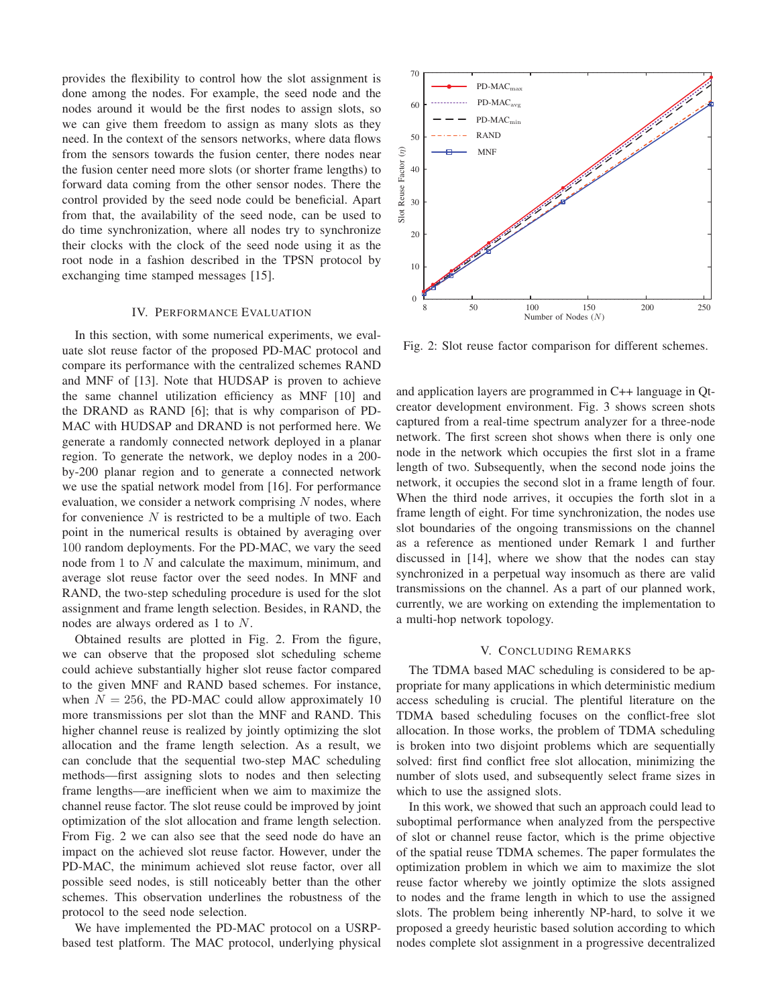provides the flexibility to control how the slot assignment is done among the nodes. For example, the seed node and the nodes around it would be the first nodes to assign slots, so we can give them freedom to assign as many slots as they need. In the context of the sensors networks, where data flows from the sensors towards the fusion center, there nodes near the fusion center need more slots (or shorter frame lengths) to forward data coming from the other sensor nodes. There the control provided by the seed node could be beneficial. Apart from that, the availability of the seed node, can be used to do time synchronization, where all nodes try to synchronize their clocks with the clock of the seed node using it as the root node in a fashion described in the TPSN protocol by exchanging time stamped messages [15].

## IV. PERFORMANCE EVALUATION

In this section, with some numerical experiments, we evaluate slot reuse factor of the proposed PD-MAC protocol and compare its performance with the centralized schemes RAND and MNF of [13]. Note that HUDSAP is proven to achieve the same channel utilization efficiency as MNF [10] and the DRAND as RAND [6]; that is why comparison of PD-MAC with HUDSAP and DRAND is not performed here. We generate a randomly connected network deployed in a planar region. To generate the network, we deploy nodes in a 200 by-200 planar region and to generate a connected network we use the spatial network model from [16]. For performance evaluation, we consider a network comprising  $N$  nodes, where for convenience  $N$  is restricted to be a multiple of two. Each point in the numerical results is obtained by averaging over 100 random deployments. For the PD-MAC, we vary the seed node from 1 to N and calculate the maximum, minimum, and average slot reuse factor over the seed nodes. In MNF and RAND, the two-step scheduling procedure is used for the slot assignment and frame length selection. Besides, in RAND, the nodes are always ordered as 1 to N.

Obtained results are plotted in Fig. 2. From the figure, we can observe that the proposed slot scheduling scheme could achieve substantially higher slot reuse factor compared to the given MNF and RAND based schemes. For instance, when  $N = 256$ , the PD-MAC could allow approximately 10 more transmissions per slot than the MNF and RAND. This higher channel reuse is realized by jointly optimizing the slot allocation and the frame length selection. As a result, we can conclude that the sequential two-step MAC scheduling methods—first assigning slots to nodes and then selecting frame lengths—are inefficient when we aim to maximize the channel reuse factor. The slot reuse could be improved by joint optimization of the slot allocation and frame length selection. From Fig. 2 we can also see that the seed node do have an impact on the achieved slot reuse factor. However, under the PD-MAC, the minimum achieved slot reuse factor, over all possible seed nodes, is still noticeably better than the other schemes. This observation underlines the robustness of the protocol to the seed node selection.

We have implemented the PD-MAC protocol on a USRPbased test platform. The MAC protocol, underlying physical



Fig. 2: Slot reuse factor comparison for different schemes.

and application layers are programmed in C++ language in Qtcreator development environment. Fig. 3 shows screen shots captured from a real-time spectrum analyzer for a three-node network. The first screen shot shows when there is only one node in the network which occupies the first slot in a frame length of two. Subsequently, when the second node joins the network, it occupies the second slot in a frame length of four. When the third node arrives, it occupies the forth slot in a frame length of eight. For time synchronization, the nodes use slot boundaries of the ongoing transmissions on the channel as a reference as mentioned under Remark 1 and further discussed in [14], where we show that the nodes can stay synchronized in a perpetual way insomuch as there are valid transmissions on the channel. As a part of our planned work, currently, we are working on extending the implementation to a multi-hop network topology.

## V. CONCLUDING REMARKS

The TDMA based MAC scheduling is considered to be appropriate for many applications in which deterministic medium access scheduling is crucial. The plentiful literature on the TDMA based scheduling focuses on the conflict-free slot allocation. In those works, the problem of TDMA scheduling is broken into two disjoint problems which are sequentially solved: first find conflict free slot allocation, minimizing the number of slots used, and subsequently select frame sizes in which to use the assigned slots.

In this work, we showed that such an approach could lead to suboptimal performance when analyzed from the perspective of slot or channel reuse factor, which is the prime objective of the spatial reuse TDMA schemes. The paper formulates the optimization problem in which we aim to maximize the slot reuse factor whereby we jointly optimize the slots assigned to nodes and the frame length in which to use the assigned slots. The problem being inherently NP-hard, to solve it we proposed a greedy heuristic based solution according to which nodes complete slot assignment in a progressive decentralized